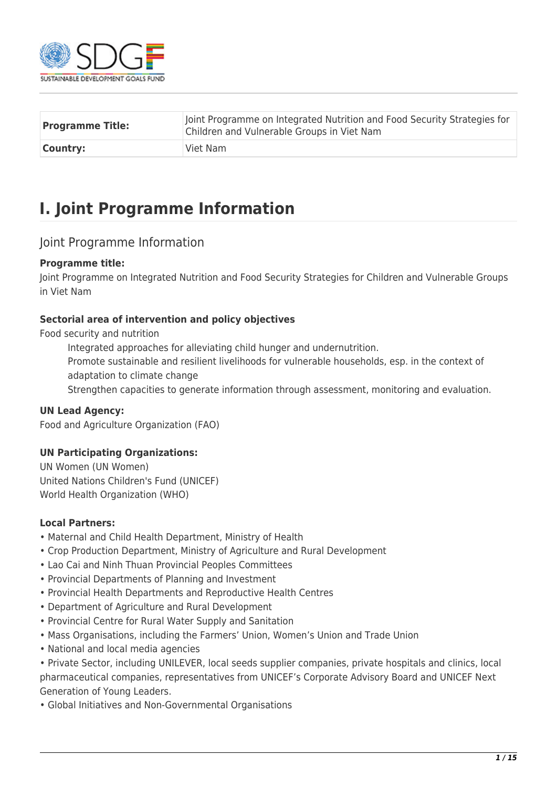

| <b>Programme Title:</b> | Joint Programme on Integrated Nutrition and Food Security Strategies for<br>Children and Vulnerable Groups in Viet Nam |  |  |  |
|-------------------------|------------------------------------------------------------------------------------------------------------------------|--|--|--|
| <b>Country:</b>         | Viet Nam                                                                                                               |  |  |  |

## **I. Joint Programme Information**

## Joint Programme Information

#### **Programme title:**

Joint Programme on Integrated Nutrition and Food Security Strategies for Children and Vulnerable Groups in Viet Nam

#### **Sectorial area of intervention and policy objectives**

Food security and nutrition

Integrated approaches for alleviating child hunger and undernutrition.

Promote sustainable and resilient livelihoods for vulnerable households, esp. in the context of adaptation to climate change

Strengthen capacities to generate information through assessment, monitoring and evaluation.

#### **UN Lead Agency:**

Food and Agriculture Organization (FAO)

#### **UN Participating Organizations:**

UN Women (UN Women) United Nations Children's Fund (UNICEF) World Health Organization (WHO)

#### **Local Partners:**

- Maternal and Child Health Department, Ministry of Health
- Crop Production Department, Ministry of Agriculture and Rural Development
- Lao Cai and Ninh Thuan Provincial Peoples Committees
- Provincial Departments of Planning and Investment
- Provincial Health Departments and Reproductive Health Centres
- Department of Agriculture and Rural Development
- Provincial Centre for Rural Water Supply and Sanitation
- Mass Organisations, including the Farmers' Union, Women's Union and Trade Union
- National and local media agencies

• Private Sector, including UNILEVER, local seeds supplier companies, private hospitals and clinics, local pharmaceutical companies, representatives from UNICEF's Corporate Advisory Board and UNICEF Next Generation of Young Leaders.

• Global Initiatives and Non-Governmental Organisations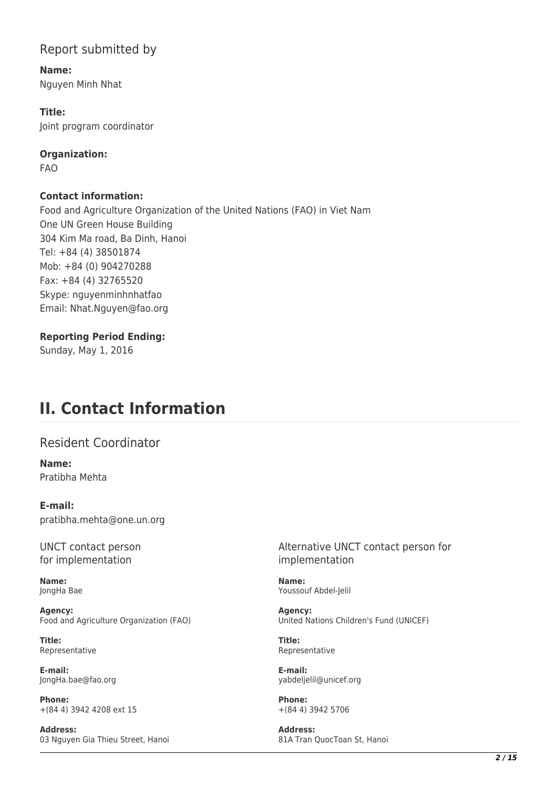## Report submitted by

**Name:**  Nguyen Minh Nhat

**Title:**  Joint program coordinator

**Organization:**  FAO

**Contact information:** 

Food and Agriculture Organization of the United Nations (FAO) in Viet Nam One UN Green House Building 304 Kim Ma road, Ba Dinh, Hanoi Tel: +84 (4) 38501874 Mob: +84 (0) 904270288 Fax: +84 (4) 32765520 Skype: nguyenminhnhatfao Email: Nhat.Nguyen@fao.org

#### **Reporting Period Ending:**

Sunday, May 1, 2016

## **II. Contact Information**

Resident Coordinator

**Name:**  Pratibha Mehta

**E-mail:**  pratibha.mehta@one.un.org

UNCT contact person for implementation

**Name:**  JongHa Bae

**Agency:**  Food and Agriculture Organization (FAO)

**Title:**  Representative

**E-mail:**  JongHa.bae@fao.org

**Phone:**  +(84 4) 3942 4208 ext 15

**Address:**  03 Nguyen Gia Thieu Street, Hanoi

Alternative UNCT contact person for implementation

**Name:**  Youssouf Abdel-Jelil

**Agency:**  United Nations Children's Fund (UNICEF)

**Title:**  Representative

**E-mail:**  yabdeljelil@unicef.org

**Phone:**  +(84 4) 3942 5706

**Address:**  81A Tran QuocToan St, Hanoi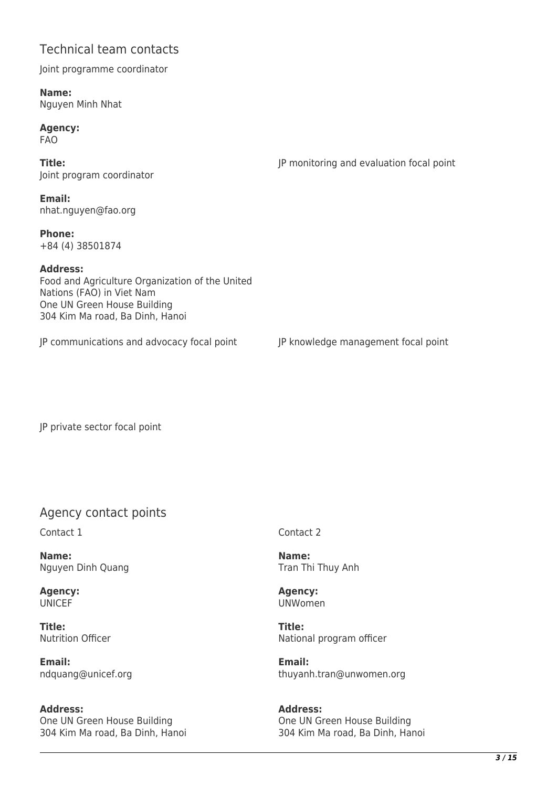## Technical team contacts

Joint programme coordinator

**Name:**  Nguyen Minh Nhat

**Agency:**  FAO

**Title:**  Joint program coordinator JP monitoring and evaluation focal point

**Email:**  nhat.nguyen@fao.org

**Phone:**  +84 (4) 38501874

#### **Address:**

Food and Agriculture Organization of the United Nations (FAO) in Viet Nam One UN Green House Building 304 Kim Ma road, Ba Dinh, Hanoi

JP communications and advocacy focal point JP knowledge management focal point

JP private sector focal point

## Agency contact points

Contact 1

**Name:**  Nguyen Dinh Quang

**Agency:**  UNICEF

**Title:**  Nutrition Officer

**Email:**  ndquang@unicef.org

**Address:**  One UN Green House Building 304 Kim Ma road, Ba Dinh, Hanoi Contact 2

**Name:**  Tran Thi Thuy Anh

**Agency:**  UNWomen

**Title:**  National program officer

**Email:**  thuyanh.tran@unwomen.org

**Address:**  One UN Green House Building 304 Kim Ma road, Ba Dinh, Hanoi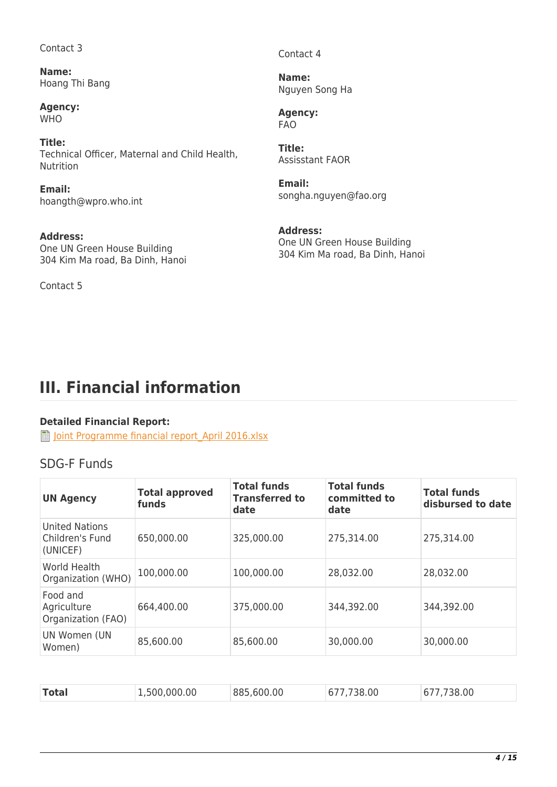Contact 3

**Name:**  Hoang Thi Bang

**Agency: WHO** 

**Title:**  Technical Officer, Maternal and Child Health, Nutrition

**Email:**  hoangth@wpro.who.int

**Address:**  One UN Green House Building 304 Kim Ma road, Ba Dinh, Hanoi

Contact 5

Contact 4

**Name:**  Nguyen Song Ha

**Agency:**  FAO

**Title:**  Assisstant FAOR

**Email:**  songha.nguyen@fao.org

**Address:**  One UN Green House Building 304 Kim Ma road, Ba Dinh, Hanoi

# **III. Financial information**

## **Detailed Financial Report:**

**Joint Programme financial report April 2016.xlsx** 

## SDG-F Funds

| <b>UN Agency</b>                                     | <b>Total approved</b><br>funds | <b>Total funds</b><br><b>Transferred to</b><br>date | <b>Total funds</b><br>committed to<br>date | <b>Total funds</b><br>disbursed to date |
|------------------------------------------------------|--------------------------------|-----------------------------------------------------|--------------------------------------------|-----------------------------------------|
| <b>United Nations</b><br>Children's Fund<br>(UNICEF) | 650,000.00                     | 325,000.00                                          | 275,314.00                                 | 275,314.00                              |
| World Health<br>Organization (WHO)                   | 100,000.00                     | 100,000.00                                          | 28,032.00                                  | 28,032.00                               |
| Food and<br>Agriculture<br>Organization (FAO)        | 664,400.00                     | 375,000.00                                          | 344,392.00                                 | 344,392.00                              |
| UN Women (UN<br>Women)                               | 85,600.00                      | 85,600.00                                           | 30,000.00                                  | 30,000.00                               |

| <b>Total</b><br>.500.000.00<br>885,600,00<br>38.00<br>.00<br>677<br>677 |
|-------------------------------------------------------------------------|
|-------------------------------------------------------------------------|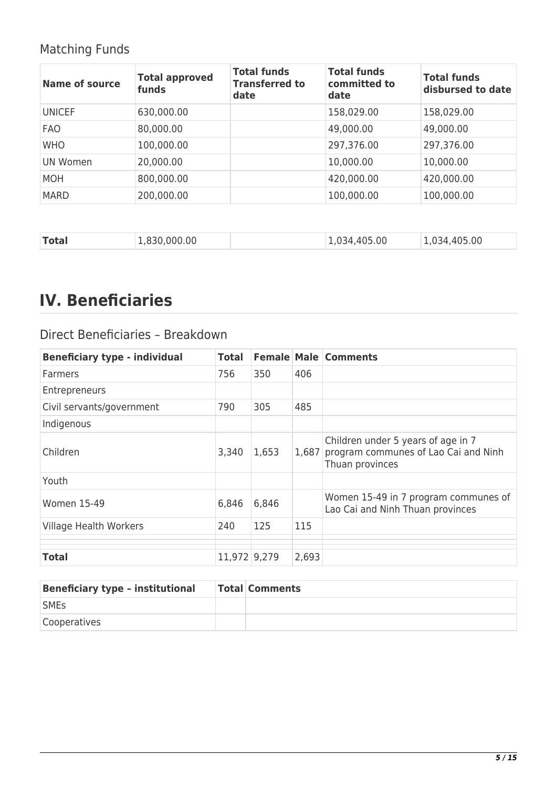## Matching Funds

| <b>Name of source</b> | <b>Total approved</b><br>funds | <b>Total funds</b><br><b>Transferred to</b><br>date | <b>Total funds</b><br>committed to<br>date | Total funds<br>disbursed to date |
|-----------------------|--------------------------------|-----------------------------------------------------|--------------------------------------------|----------------------------------|
| <b>UNICEF</b>         | 630,000.00                     |                                                     | 158,029.00                                 | 158,029.00                       |
| <b>FAO</b>            | 80,000.00                      |                                                     | 49,000.00                                  | 49,000.00                        |
| <b>WHO</b>            | 100,000.00                     |                                                     | 297,376.00                                 | 297,376.00                       |
| UN Women              | 20,000.00                      |                                                     | 10,000.00                                  | 10,000.00                        |
| <b>MOH</b>            | 800,000.00                     |                                                     | 420,000.00                                 | 420,000.00                       |
| <b>MARD</b>           | 200,000.00                     |                                                     | 100,000.00                                 | 100,000.00                       |

| <b>Total</b> | 1,830,000.00 | 1,034,405.00 | 1,034,405.00 |
|--------------|--------------|--------------|--------------|
|              |              |              |              |

# **IV. Beneficiaries**

## Direct Beneficiaries – Breakdown

| <b>Beneficiary type - individual</b> | Total        |       |       | <b>Female Male Comments</b>                                                                   |
|--------------------------------------|--------------|-------|-------|-----------------------------------------------------------------------------------------------|
| <b>Farmers</b>                       | 756          | 350   | 406   |                                                                                               |
| Entrepreneurs                        |              |       |       |                                                                                               |
| Civil servants/government            | 790          | 305   | 485   |                                                                                               |
| Indigenous                           |              |       |       |                                                                                               |
| Children                             | 3,340        | 1,653 | 1,687 | Children under 5 years of age in 7<br>program communes of Lao Cai and Ninh<br>Thuan provinces |
| Youth                                |              |       |       |                                                                                               |
| <b>Women 15-49</b>                   | 6,846        | 6,846 |       | Women 15-49 in 7 program communes of<br>Lao Cai and Ninh Thuan provinces                      |
| <b>Village Health Workers</b>        | 240          | 125   | 115   |                                                                                               |
|                                      |              |       |       |                                                                                               |
| <b>Total</b>                         | 11,972 9,279 |       | 2,693 |                                                                                               |

| <b>Beneficiary type - institutional</b> | <b>Total Comments</b> |
|-----------------------------------------|-----------------------|
| <b>SMEs</b>                             |                       |
| Cooperatives                            |                       |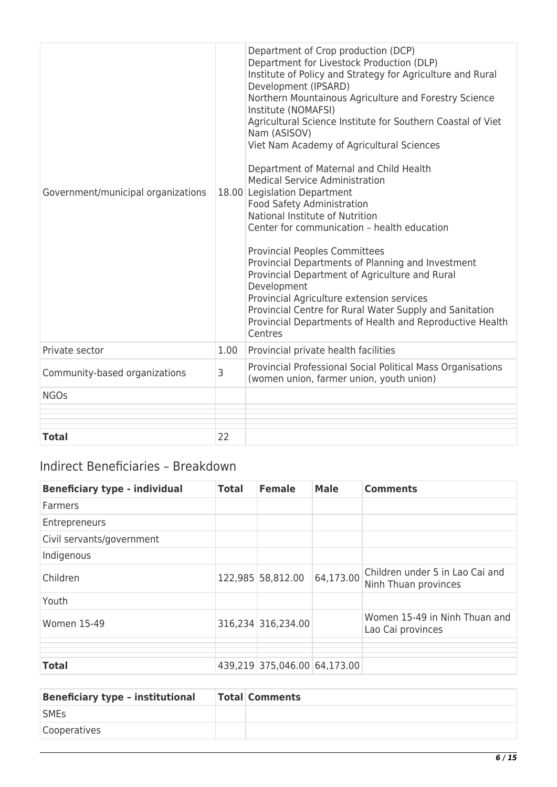| Government/municipal organizations |      | Department of Crop production (DCP)<br>Department for Livestock Production (DLP)<br>Institute of Policy and Strategy for Agriculture and Rural<br>Development (IPSARD)<br>Northern Mountainous Agriculture and Forestry Science<br>Institute (NOMAFSI)<br>Agricultural Science Institute for Southern Coastal of Viet<br>Nam (ASISOV)<br>Viet Nam Academy of Agricultural Sciences<br>Department of Maternal and Child Health<br><b>Medical Service Administration</b><br>18.00 Legislation Department<br>Food Safety Administration<br>National Institute of Nutrition<br>Center for communication - health education<br><b>Provincial Peoples Committees</b><br>Provincial Departments of Planning and Investment<br>Provincial Department of Agriculture and Rural<br>Development<br>Provincial Agriculture extension services<br>Provincial Centre for Rural Water Supply and Sanitation<br>Provincial Departments of Health and Reproductive Health<br>Centres |
|------------------------------------|------|---------------------------------------------------------------------------------------------------------------------------------------------------------------------------------------------------------------------------------------------------------------------------------------------------------------------------------------------------------------------------------------------------------------------------------------------------------------------------------------------------------------------------------------------------------------------------------------------------------------------------------------------------------------------------------------------------------------------------------------------------------------------------------------------------------------------------------------------------------------------------------------------------------------------------------------------------------------------|
| Private sector                     | 1.00 | Provincial private health facilities                                                                                                                                                                                                                                                                                                                                                                                                                                                                                                                                                                                                                                                                                                                                                                                                                                                                                                                                |
| Community-based organizations      | 3    | Provincial Professional Social Political Mass Organisations<br>(women union, farmer union, youth union)                                                                                                                                                                                                                                                                                                                                                                                                                                                                                                                                                                                                                                                                                                                                                                                                                                                             |
| <b>NGOs</b>                        |      |                                                                                                                                                                                                                                                                                                                                                                                                                                                                                                                                                                                                                                                                                                                                                                                                                                                                                                                                                                     |
|                                    |      |                                                                                                                                                                                                                                                                                                                                                                                                                                                                                                                                                                                                                                                                                                                                                                                                                                                                                                                                                                     |
| <b>Total</b>                       | 22   |                                                                                                                                                                                                                                                                                                                                                                                                                                                                                                                                                                                                                                                                                                                                                                                                                                                                                                                                                                     |

## Indirect Beneficiaries – Breakdown

| <b>Beneficiary type - individual</b> | <b>Total</b> | <b>Female</b>                | <b>Male</b> | <b>Comments</b>                                         |
|--------------------------------------|--------------|------------------------------|-------------|---------------------------------------------------------|
| <b>Farmers</b>                       |              |                              |             |                                                         |
| Entrepreneurs                        |              |                              |             |                                                         |
| Civil servants/government            |              |                              |             |                                                         |
| Indigenous                           |              |                              |             |                                                         |
| Children                             |              | 122,985 58,812.00            | 64,173.00   | Children under 5 in Lao Cai and<br>Ninh Thuan provinces |
| Youth                                |              |                              |             |                                                         |
| <b>Women 15-49</b>                   |              | 316,234 316,234.00           |             | Women 15-49 in Ninh Thuan and<br>Lao Cai provinces      |
|                                      |              |                              |             |                                                         |
| <b>Total</b>                         |              | 439,219 375,046.00 64,173.00 |             |                                                         |

| <b>Beneficiary type - institutional</b> | <b>Total Comments</b> |
|-----------------------------------------|-----------------------|
| <b>SMEs</b>                             |                       |
| <b>Cooperatives</b>                     |                       |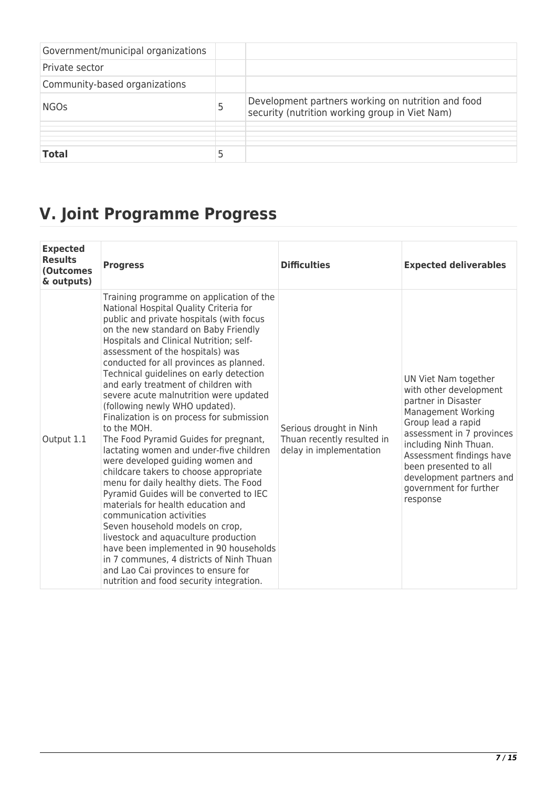| Government/municipal organizations |   |                                                                                                      |
|------------------------------------|---|------------------------------------------------------------------------------------------------------|
| Private sector                     |   |                                                                                                      |
| Community-based organizations      |   |                                                                                                      |
| <b>NGOs</b>                        | 5 | Development partners working on nutrition and food<br>security (nutrition working group in Viet Nam) |
|                                    |   |                                                                                                      |
| <b>Total</b>                       | 5 |                                                                                                      |

# **V. Joint Programme Progress**

| <b>Expected</b><br><b>Results</b><br><b>(Outcomes</b><br>& outputs) | <b>Progress</b>                                                                                                                                                                                                                                                                                                                                                                                                                                                                                                                                                                                                                                                                                                                                                                                                                                                                                                                                                                                                                                                                                          | <b>Difficulties</b>                                                              | <b>Expected deliverables</b>                                                                                                                                                                                                                                                                          |
|---------------------------------------------------------------------|----------------------------------------------------------------------------------------------------------------------------------------------------------------------------------------------------------------------------------------------------------------------------------------------------------------------------------------------------------------------------------------------------------------------------------------------------------------------------------------------------------------------------------------------------------------------------------------------------------------------------------------------------------------------------------------------------------------------------------------------------------------------------------------------------------------------------------------------------------------------------------------------------------------------------------------------------------------------------------------------------------------------------------------------------------------------------------------------------------|----------------------------------------------------------------------------------|-------------------------------------------------------------------------------------------------------------------------------------------------------------------------------------------------------------------------------------------------------------------------------------------------------|
| Output 1.1                                                          | Training programme on application of the<br>National Hospital Quality Criteria for<br>public and private hospitals (with focus<br>on the new standard on Baby Friendly<br>Hospitals and Clinical Nutrition; self-<br>assessment of the hospitals) was<br>conducted for all provinces as planned.<br>Technical guidelines on early detection<br>and early treatment of children with<br>severe acute malnutrition were updated<br>(following newly WHO updated).<br>Finalization is on process for submission<br>to the MOH.<br>The Food Pyramid Guides for pregnant,<br>lactating women and under-five children<br>were developed guiding women and<br>childcare takers to choose appropriate<br>menu for daily healthy diets. The Food<br>Pyramid Guides will be converted to IEC<br>materials for health education and<br>communication activities<br>Seven household models on crop,<br>livestock and aquaculture production<br>have been implemented in 90 households<br>in 7 communes, 4 districts of Ninh Thuan<br>and Lao Cai provinces to ensure for<br>nutrition and food security integration. | Serious drought in Ninh<br>Thuan recently resulted in<br>delay in implementation | UN Viet Nam together<br>with other development<br>partner in Disaster<br><b>Management Working</b><br>Group lead a rapid<br>assessment in 7 provinces<br>including Ninh Thuan.<br>Assessment findings have<br>been presented to all<br>development partners and<br>government for further<br>response |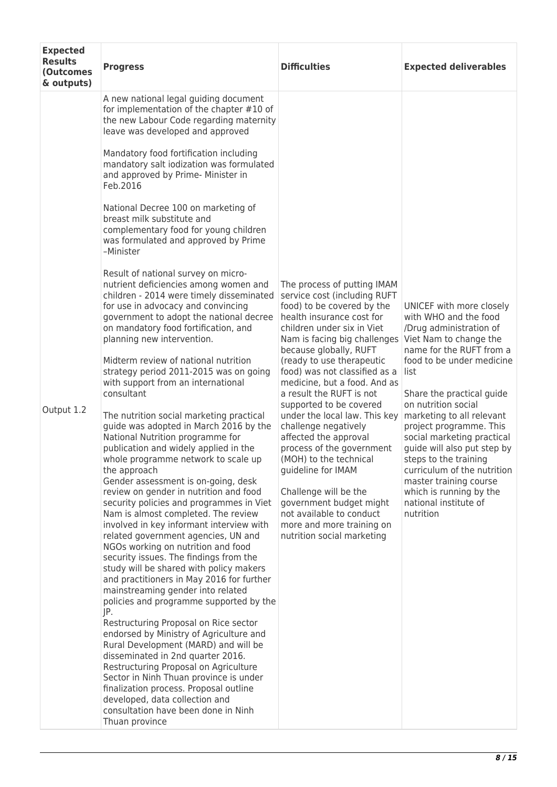| <b>Results</b><br><b>Progress</b><br>(Outcomes<br>& outputs)                                                                                                                                                                                                                                                                                                                                                                                                                                                                                                                                                                                                                                                                                                                                                                                                                                                                                                                                                                                                                                                                                                                                                                                                                                                                                                                                                                                                                                                        | <b>Difficulties</b>                                                                                                                                                                                                                                                                                                                                                                                                                                                                                                                                                                                                                                                                                  | <b>Expected deliverables</b>                                                                                                                                                                                                                                                                                                                                                                                                                                              |  |
|---------------------------------------------------------------------------------------------------------------------------------------------------------------------------------------------------------------------------------------------------------------------------------------------------------------------------------------------------------------------------------------------------------------------------------------------------------------------------------------------------------------------------------------------------------------------------------------------------------------------------------------------------------------------------------------------------------------------------------------------------------------------------------------------------------------------------------------------------------------------------------------------------------------------------------------------------------------------------------------------------------------------------------------------------------------------------------------------------------------------------------------------------------------------------------------------------------------------------------------------------------------------------------------------------------------------------------------------------------------------------------------------------------------------------------------------------------------------------------------------------------------------|------------------------------------------------------------------------------------------------------------------------------------------------------------------------------------------------------------------------------------------------------------------------------------------------------------------------------------------------------------------------------------------------------------------------------------------------------------------------------------------------------------------------------------------------------------------------------------------------------------------------------------------------------------------------------------------------------|---------------------------------------------------------------------------------------------------------------------------------------------------------------------------------------------------------------------------------------------------------------------------------------------------------------------------------------------------------------------------------------------------------------------------------------------------------------------------|--|
| A new national legal guiding document<br>for implementation of the chapter #10 of<br>the new Labour Code regarding maternity<br>leave was developed and approved                                                                                                                                                                                                                                                                                                                                                                                                                                                                                                                                                                                                                                                                                                                                                                                                                                                                                                                                                                                                                                                                                                                                                                                                                                                                                                                                                    |                                                                                                                                                                                                                                                                                                                                                                                                                                                                                                                                                                                                                                                                                                      |                                                                                                                                                                                                                                                                                                                                                                                                                                                                           |  |
| Mandatory food fortification including<br>mandatory salt iodization was formulated<br>and approved by Prime- Minister in<br>Feb.2016                                                                                                                                                                                                                                                                                                                                                                                                                                                                                                                                                                                                                                                                                                                                                                                                                                                                                                                                                                                                                                                                                                                                                                                                                                                                                                                                                                                |                                                                                                                                                                                                                                                                                                                                                                                                                                                                                                                                                                                                                                                                                                      |                                                                                                                                                                                                                                                                                                                                                                                                                                                                           |  |
| National Decree 100 on marketing of<br>breast milk substitute and<br>complementary food for young children<br>was formulated and approved by Prime<br>-Minister                                                                                                                                                                                                                                                                                                                                                                                                                                                                                                                                                                                                                                                                                                                                                                                                                                                                                                                                                                                                                                                                                                                                                                                                                                                                                                                                                     |                                                                                                                                                                                                                                                                                                                                                                                                                                                                                                                                                                                                                                                                                                      |                                                                                                                                                                                                                                                                                                                                                                                                                                                                           |  |
| Result of national survey on micro-<br>nutrient deficiencies among women and<br>children - 2014 were timely disseminated<br>for use in advocacy and convincing<br>government to adopt the national decree<br>on mandatory food fortification, and<br>planning new intervention.<br>Midterm review of national nutrition<br>strategy period 2011-2015 was on going<br>with support from an international<br>consultant<br>Output 1.2<br>The nutrition social marketing practical<br>guide was adopted in March 2016 by the<br>National Nutrition programme for<br>publication and widely applied in the<br>whole programme network to scale up<br>the approach<br>Gender assessment is on-going, desk<br>review on gender in nutrition and food<br>security policies and programmes in Viet<br>Nam is almost completed. The review<br>involved in key informant interview with<br>related government agencies, UN and<br>NGOs working on nutrition and food<br>security issues. The findings from the<br>study will be shared with policy makers<br>and practitioners in May 2016 for further<br>mainstreaming gender into related<br>policies and programme supported by the<br>JP.<br>Restructuring Proposal on Rice sector<br>endorsed by Ministry of Agriculture and<br>Rural Development (MARD) and will be<br>disseminated in 2nd quarter 2016.<br>Restructuring Proposal on Agriculture<br>Sector in Ninh Thuan province is under<br>finalization process. Proposal outline<br>developed, data collection and | The process of putting IMAM<br>service cost (including RUFT<br>food) to be covered by the<br>health insurance cost for<br>children under six in Viet<br>Nam is facing big challenges Viet Nam to change the<br>because globally, RUFT<br>(ready to use therapeutic<br>food) was not classified as a<br>medicine, but a food. And as<br>a result the RUFT is not<br>supported to be covered<br>under the local law. This key<br>challenge negatively<br>affected the approval<br>process of the government<br>(MOH) to the technical<br>quideline for IMAM<br>Challenge will be the<br>government budget might<br>not available to conduct<br>more and more training on<br>nutrition social marketing | UNICEF with more closely<br>with WHO and the food<br>/Drug administration of<br>name for the RUFT from a<br>food to be under medicine<br>list<br>Share the practical guide<br>on nutrition social<br>marketing to all relevant<br>project programme. This<br>social marketing practical<br>quide will also put step by<br>steps to the training<br>curriculum of the nutrition<br>master training course<br>which is running by the<br>national institute of<br>nutrition |  |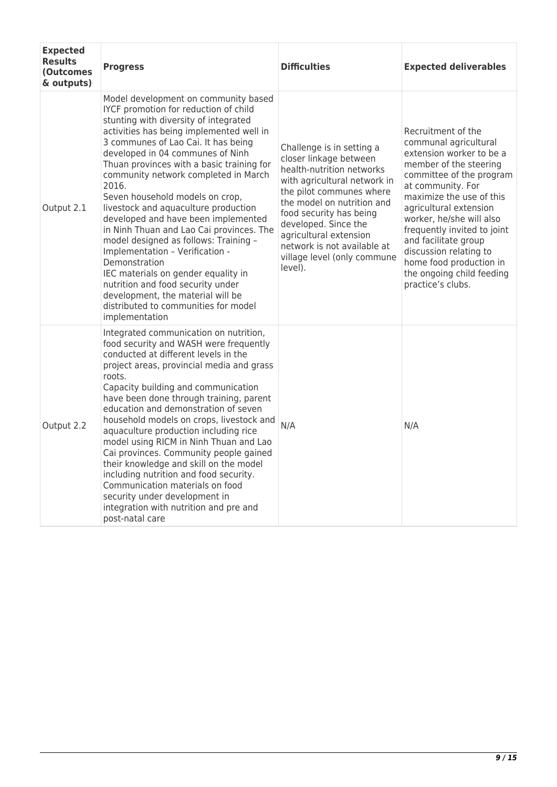| <b>Expected</b><br><b>Results</b><br><b>(Outcomes</b><br>& outputs) | <b>Progress</b>                                                                                                                                                                                                                                                                                                                                                                                                                                                                                                                                                                                                                                                                                                                                                                   | <b>Difficulties</b>                                                                                                                                                                                                                                                                                                              | <b>Expected deliverables</b>                                                                                                                                                                                                                                                                                                                                                                       |
|---------------------------------------------------------------------|-----------------------------------------------------------------------------------------------------------------------------------------------------------------------------------------------------------------------------------------------------------------------------------------------------------------------------------------------------------------------------------------------------------------------------------------------------------------------------------------------------------------------------------------------------------------------------------------------------------------------------------------------------------------------------------------------------------------------------------------------------------------------------------|----------------------------------------------------------------------------------------------------------------------------------------------------------------------------------------------------------------------------------------------------------------------------------------------------------------------------------|----------------------------------------------------------------------------------------------------------------------------------------------------------------------------------------------------------------------------------------------------------------------------------------------------------------------------------------------------------------------------------------------------|
| Output 2.1                                                          | Model development on community based<br>IYCF promotion for reduction of child<br>stunting with diversity of integrated<br>activities has being implemented well in<br>3 communes of Lao Cai. It has being<br>developed in 04 communes of Ninh<br>Thuan provinces with a basic training for<br>community network completed in March<br>2016.<br>Seven household models on crop,<br>livestock and aquaculture production<br>developed and have been implemented<br>in Ninh Thuan and Lao Cai provinces. The<br>model designed as follows: Training -<br>Implementation - Verification -<br>Demonstration<br>IEC materials on gender equality in<br>nutrition and food security under<br>development, the material will be<br>distributed to communities for model<br>implementation | Challenge is in setting a<br>closer linkage between<br>health-nutrition networks<br>with agricultural network in<br>the pilot communes where<br>the model on nutrition and<br>food security has being<br>developed. Since the<br>agricultural extension<br>network is not available at<br>village level (only commune<br>level). | Recruitment of the<br>communal agricultural<br>extension worker to be a<br>member of the steering<br>committee of the program<br>at community. For<br>maximize the use of this<br>agricultural extension<br>worker, he/she will also<br>frequently invited to joint<br>and facilitate group<br>discussion relating to<br>home food production in<br>the ongoing child feeding<br>practice's clubs. |
| Output 2.2                                                          | Integrated communication on nutrition,<br>food security and WASH were frequently<br>conducted at different levels in the<br>project areas, provincial media and grass<br>roots.<br>Capacity building and communication<br>have been done through training, parent<br>education and demonstration of seven<br>household models on crops, livestock and<br>aquaculture production including rice<br>model using RICM in Ninh Thuan and Lao<br>Cai provinces. Community people gained<br>their knowledge and skill on the model<br>including nutrition and food security.<br>Communication materials on food<br>security under development in<br>integration with nutrition and pre and<br>post-natal care                                                                           | N/A                                                                                                                                                                                                                                                                                                                              | N/A                                                                                                                                                                                                                                                                                                                                                                                                |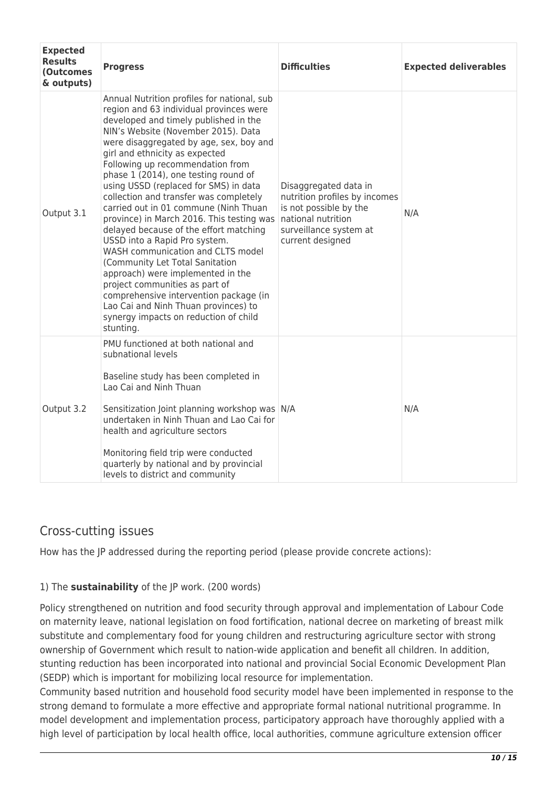| <b>Expected</b><br><b>Results</b><br><b>(Outcomes</b><br>& outputs) | <b>Progress</b>                                                                                                                                                                                                                                                                                                                                                                                                                                                                                                                                                                                                                                                                                                                                                                                                                                                            | <b>Difficulties</b>                                                                                                                                  | <b>Expected deliverables</b> |
|---------------------------------------------------------------------|----------------------------------------------------------------------------------------------------------------------------------------------------------------------------------------------------------------------------------------------------------------------------------------------------------------------------------------------------------------------------------------------------------------------------------------------------------------------------------------------------------------------------------------------------------------------------------------------------------------------------------------------------------------------------------------------------------------------------------------------------------------------------------------------------------------------------------------------------------------------------|------------------------------------------------------------------------------------------------------------------------------------------------------|------------------------------|
| Output 3.1                                                          | Annual Nutrition profiles for national, sub<br>region and 63 individual provinces were<br>developed and timely published in the<br>NIN's Website (November 2015). Data<br>were disaggregated by age, sex, boy and<br>girl and ethnicity as expected<br>Following up recommendation from<br>phase 1 (2014), one testing round of<br>using USSD (replaced for SMS) in data<br>collection and transfer was completely<br>carried out in 01 commune (Ninh Thuan<br>province) in March 2016. This testing was<br>delayed because of the effort matching<br>USSD into a Rapid Pro system.<br>WASH communication and CLTS model<br>(Community Let Total Sanitation<br>approach) were implemented in the<br>project communities as part of<br>comprehensive intervention package (in<br>Lao Cai and Ninh Thuan provinces) to<br>synergy impacts on reduction of child<br>stunting. | Disaggregated data in<br>nutrition profiles by incomes<br>is not possible by the<br>national nutrition<br>surveillance system at<br>current designed | N/A                          |
| Output 3.2                                                          | PMU functioned at both national and<br>subnational levels<br>Baseline study has been completed in<br>Lao Cai and Ninh Thuan<br>Sensitization Joint planning workshop was N/A<br>undertaken in Ninh Thuan and Lao Cai for<br>health and agriculture sectors<br>Monitoring field trip were conducted<br>quarterly by national and by provincial<br>levels to district and community                                                                                                                                                                                                                                                                                                                                                                                                                                                                                          |                                                                                                                                                      | N/A                          |

## Cross-cutting issues

How has the JP addressed during the reporting period (please provide concrete actions):

## 1) The **sustainability** of the JP work. (200 words)

Policy strengthened on nutrition and food security through approval and implementation of Labour Code on maternity leave, national legislation on food fortification, national decree on marketing of breast milk substitute and complementary food for young children and restructuring agriculture sector with strong ownership of Government which result to nation-wide application and benefit all children. In addition, stunting reduction has been incorporated into national and provincial Social Economic Development Plan (SEDP) which is important for mobilizing local resource for implementation.

Community based nutrition and household food security model have been implemented in response to the strong demand to formulate a more effective and appropriate formal national nutritional programme. In model development and implementation process, participatory approach have thoroughly applied with a high level of participation by local health office, local authorities, commune agriculture extension officer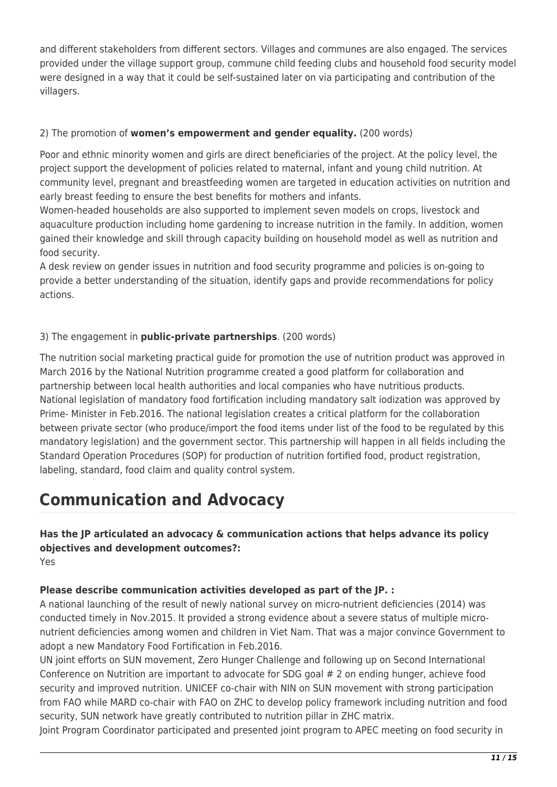and different stakeholders from different sectors. Villages and communes are also engaged. The services provided under the village support group, commune child feeding clubs and household food security model were designed in a way that it could be self-sustained later on via participating and contribution of the villagers.

### 2) The promotion of **women's empowerment and gender equality.** (200 words)

Poor and ethnic minority women and girls are direct beneficiaries of the project. At the policy level, the project support the development of policies related to maternal, infant and young child nutrition. At community level, pregnant and breastfeeding women are targeted in education activities on nutrition and early breast feeding to ensure the best benefits for mothers and infants.

Women-headed households are also supported to implement seven models on crops, livestock and aquaculture production including home gardening to increase nutrition in the family. In addition, women gained their knowledge and skill through capacity building on household model as well as nutrition and food security.

A desk review on gender issues in nutrition and food security programme and policies is on-going to provide a better understanding of the situation, identify gaps and provide recommendations for policy actions.

### 3) The engagement in **public-private partnerships**. (200 words)

The nutrition social marketing practical guide for promotion the use of nutrition product was approved in March 2016 by the National Nutrition programme created a good platform for collaboration and partnership between local health authorities and local companies who have nutritious products. National legislation of mandatory food fortification including mandatory salt iodization was approved by Prime- Minister in Feb.2016. The national legislation creates a critical platform for the collaboration between private sector (who produce/import the food items under list of the food to be regulated by this mandatory legislation) and the government sector. This partnership will happen in all fields including the Standard Operation Procedures (SOP) for production of nutrition fortified food, product registration, labeling, standard, food claim and quality control system.

## **Communication and Advocacy**

**Has the JP articulated an advocacy & communication actions that helps advance its policy objectives and development outcomes?:**  Yes

#### **Please describe communication activities developed as part of the JP. :**

A national launching of the result of newly national survey on micro-nutrient deficiencies (2014) was conducted timely in Nov.2015. It provided a strong evidence about a severe status of multiple micronutrient deficiencies among women and children in Viet Nam. That was a major convince Government to adopt a new Mandatory Food Fortification in Feb.2016.

UN joint efforts on SUN movement, Zero Hunger Challenge and following up on Second International Conference on Nutrition are important to advocate for SDG goal # 2 on ending hunger, achieve food security and improved nutrition. UNICEF co-chair with NIN on SUN movement with strong participation from FAO while MARD co-chair with FAO on ZHC to develop policy framework including nutrition and food security, SUN network have greatly contributed to nutrition pillar in ZHC matrix.

Joint Program Coordinator participated and presented joint program to APEC meeting on food security in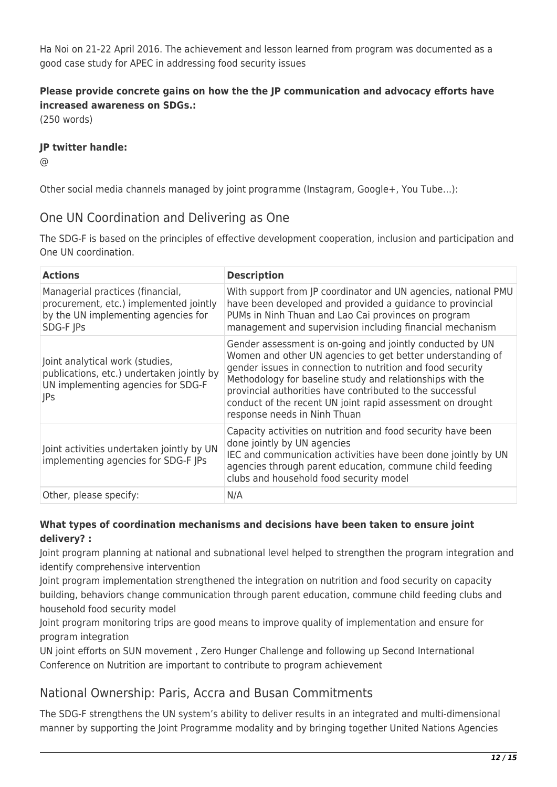Ha Noi on 21-22 April 2016. The achievement and lesson learned from program was documented as a good case study for APEC in addressing food security issues

## **Please provide concrete gains on how the the JP communication and advocacy efforts have increased awareness on SDGs.:**

(250 words)

### **JP twitter handle:**

 $\omega$ 

Other social media channels managed by joint programme (Instagram, Google+, You Tube…):

## One UN Coordination and Delivering as One

The SDG-F is based on the principles of effective development cooperation, inclusion and participation and One UN coordination.

| <b>Actions</b>                                                                                                                   | <b>Description</b>                                                                                                                                                                                                                                                                                                                                                                                            |
|----------------------------------------------------------------------------------------------------------------------------------|---------------------------------------------------------------------------------------------------------------------------------------------------------------------------------------------------------------------------------------------------------------------------------------------------------------------------------------------------------------------------------------------------------------|
| Managerial practices (financial,<br>procurement, etc.) implemented jointly<br>by the UN implementing agencies for<br>SDG-F JPs   | With support from JP coordinator and UN agencies, national PMU<br>have been developed and provided a guidance to provincial<br>PUMs in Ninh Thuan and Lao Cai provinces on program<br>management and supervision including financial mechanism                                                                                                                                                                |
| Joint analytical work (studies,<br>publications, etc.) undertaken jointly by<br>UN implementing agencies for SDG-F<br><b>JPs</b> | Gender assessment is on-going and jointly conducted by UN<br>Women and other UN agencies to get better understanding of<br>gender issues in connection to nutrition and food security<br>Methodology for baseline study and relationships with the<br>provincial authorities have contributed to the successful<br>conduct of the recent UN joint rapid assessment on drought<br>response needs in Ninh Thuan |
| Joint activities undertaken jointly by UN<br>implementing agencies for SDG-F JPs                                                 | Capacity activities on nutrition and food security have been<br>done jointly by UN agencies<br>IEC and communication activities have been done jointly by UN<br>agencies through parent education, commune child feeding<br>clubs and household food security model                                                                                                                                           |
| Other, please specify:                                                                                                           | N/A                                                                                                                                                                                                                                                                                                                                                                                                           |

### **What types of coordination mechanisms and decisions have been taken to ensure joint delivery? :**

Joint program planning at national and subnational level helped to strengthen the program integration and identify comprehensive intervention

Joint program implementation strengthened the integration on nutrition and food security on capacity building, behaviors change communication through parent education, commune child feeding clubs and household food security model

Joint program monitoring trips are good means to improve quality of implementation and ensure for program integration

UN joint efforts on SUN movement , Zero Hunger Challenge and following up Second International Conference on Nutrition are important to contribute to program achievement

## National Ownership: Paris, Accra and Busan Commitments

The SDG-F strengthens the UN system's ability to deliver results in an integrated and multi-dimensional manner by supporting the Joint Programme modality and by bringing together United Nations Agencies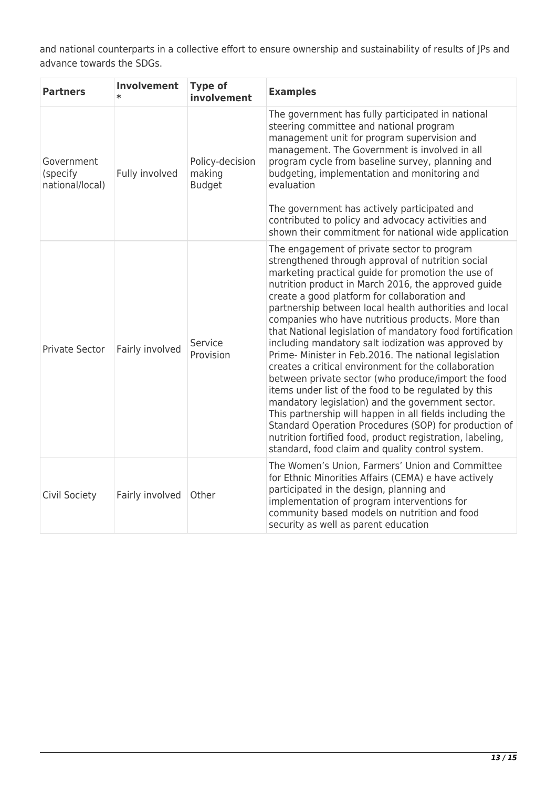and national counterparts in a collective effort to ensure ownership and sustainability of results of JPs and advance towards the SDGs.

| <b>Partners</b>                           | <b>Involvement</b> | <b>Type of</b><br>involvement              | <b>Examples</b>                                                                                                                                                                                                                                                                                                                                                                                                                                                                                                                                                                                                                                                                                                                                                                                                                                                                                                                                                                                                             |
|-------------------------------------------|--------------------|--------------------------------------------|-----------------------------------------------------------------------------------------------------------------------------------------------------------------------------------------------------------------------------------------------------------------------------------------------------------------------------------------------------------------------------------------------------------------------------------------------------------------------------------------------------------------------------------------------------------------------------------------------------------------------------------------------------------------------------------------------------------------------------------------------------------------------------------------------------------------------------------------------------------------------------------------------------------------------------------------------------------------------------------------------------------------------------|
| Government<br>(specify<br>national/local) | Fully involved     | Policy-decision<br>making<br><b>Budget</b> | The government has fully participated in national<br>steering committee and national program<br>management unit for program supervision and<br>management. The Government is involved in all<br>program cycle from baseline survey, planning and<br>budgeting, implementation and monitoring and<br>evaluation<br>The government has actively participated and<br>contributed to policy and advocacy activities and<br>shown their commitment for national wide application                                                                                                                                                                                                                                                                                                                                                                                                                                                                                                                                                 |
| Private Sector                            | Fairly involved    | Service<br>Provision                       | The engagement of private sector to program<br>strengthened through approval of nutrition social<br>marketing practical guide for promotion the use of<br>nutrition product in March 2016, the approved guide<br>create a good platform for collaboration and<br>partnership between local health authorities and local<br>companies who have nutritious products. More than<br>that National legislation of mandatory food fortification<br>including mandatory salt iodization was approved by<br>Prime- Minister in Feb.2016. The national legislation<br>creates a critical environment for the collaboration<br>between private sector (who produce/import the food<br>items under list of the food to be regulated by this<br>mandatory legislation) and the government sector.<br>This partnership will happen in all fields including the<br>Standard Operation Procedures (SOP) for production of<br>nutrition fortified food, product registration, labeling,<br>standard, food claim and quality control system. |
| Civil Society                             | Fairly involved    | Other                                      | The Women's Union, Farmers' Union and Committee<br>for Ethnic Minorities Affairs (CEMA) e have actively<br>participated in the design, planning and<br>implementation of program interventions for<br>community based models on nutrition and food<br>security as well as parent education                                                                                                                                                                                                                                                                                                                                                                                                                                                                                                                                                                                                                                                                                                                                  |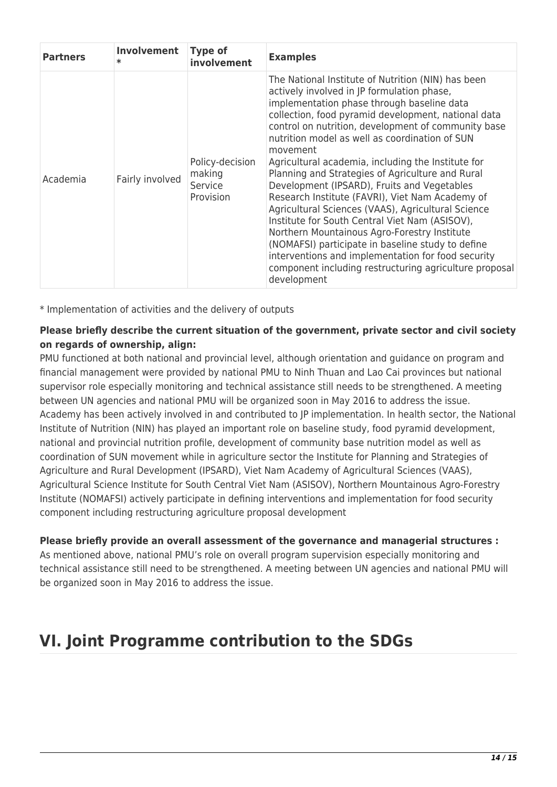| <b>Partners</b> | Involvement<br>$\ast$ | <b>Type of</b><br>involvement                     | <b>Examples</b>                                                                                                                                                                                                                                                                                                                                                                                                                                                                                                                                                                                                                                                                                                                                                                                                                                                                    |
|-----------------|-----------------------|---------------------------------------------------|------------------------------------------------------------------------------------------------------------------------------------------------------------------------------------------------------------------------------------------------------------------------------------------------------------------------------------------------------------------------------------------------------------------------------------------------------------------------------------------------------------------------------------------------------------------------------------------------------------------------------------------------------------------------------------------------------------------------------------------------------------------------------------------------------------------------------------------------------------------------------------|
| Academia        | Fairly involved       | Policy-decision<br>making<br>Service<br>Provision | The National Institute of Nutrition (NIN) has been<br>actively involved in JP formulation phase,<br>implementation phase through baseline data<br>collection, food pyramid development, national data<br>control on nutrition, development of community base<br>nutrition model as well as coordination of SUN<br>movement<br>Agricultural academia, including the Institute for<br>Planning and Strategies of Agriculture and Rural<br>Development (IPSARD), Fruits and Vegetables<br>Research Institute (FAVRI), Viet Nam Academy of<br>Agricultural Sciences (VAAS), Agricultural Science<br>Institute for South Central Viet Nam (ASISOV),<br>Northern Mountainous Agro-Forestry Institute<br>(NOMAFSI) participate in baseline study to define<br>interventions and implementation for food security<br>component including restructuring agriculture proposal<br>development |

\* Implementation of activities and the delivery of outputs

### **Please briefly describe the current situation of the government, private sector and civil society on regards of ownership, align:**

PMU functioned at both national and provincial level, although orientation and guidance on program and financial management were provided by national PMU to Ninh Thuan and Lao Cai provinces but national supervisor role especially monitoring and technical assistance still needs to be strengthened. A meeting between UN agencies and national PMU will be organized soon in May 2016 to address the issue. Academy has been actively involved in and contributed to JP implementation. In health sector, the National Institute of Nutrition (NIN) has played an important role on baseline study, food pyramid development, national and provincial nutrition profile, development of community base nutrition model as well as coordination of SUN movement while in agriculture sector the Institute for Planning and Strategies of Agriculture and Rural Development (IPSARD), Viet Nam Academy of Agricultural Sciences (VAAS), Agricultural Science Institute for South Central Viet Nam (ASISOV), Northern Mountainous Agro-Forestry Institute (NOMAFSI) actively participate in defining interventions and implementation for food security component including restructuring agriculture proposal development

## **Please briefly provide an overall assessment of the governance and managerial structures :**

As mentioned above, national PMU's role on overall program supervision especially monitoring and technical assistance still need to be strengthened. A meeting between UN agencies and national PMU will be organized soon in May 2016 to address the issue.

## **VI. Joint Programme contribution to the SDGs**